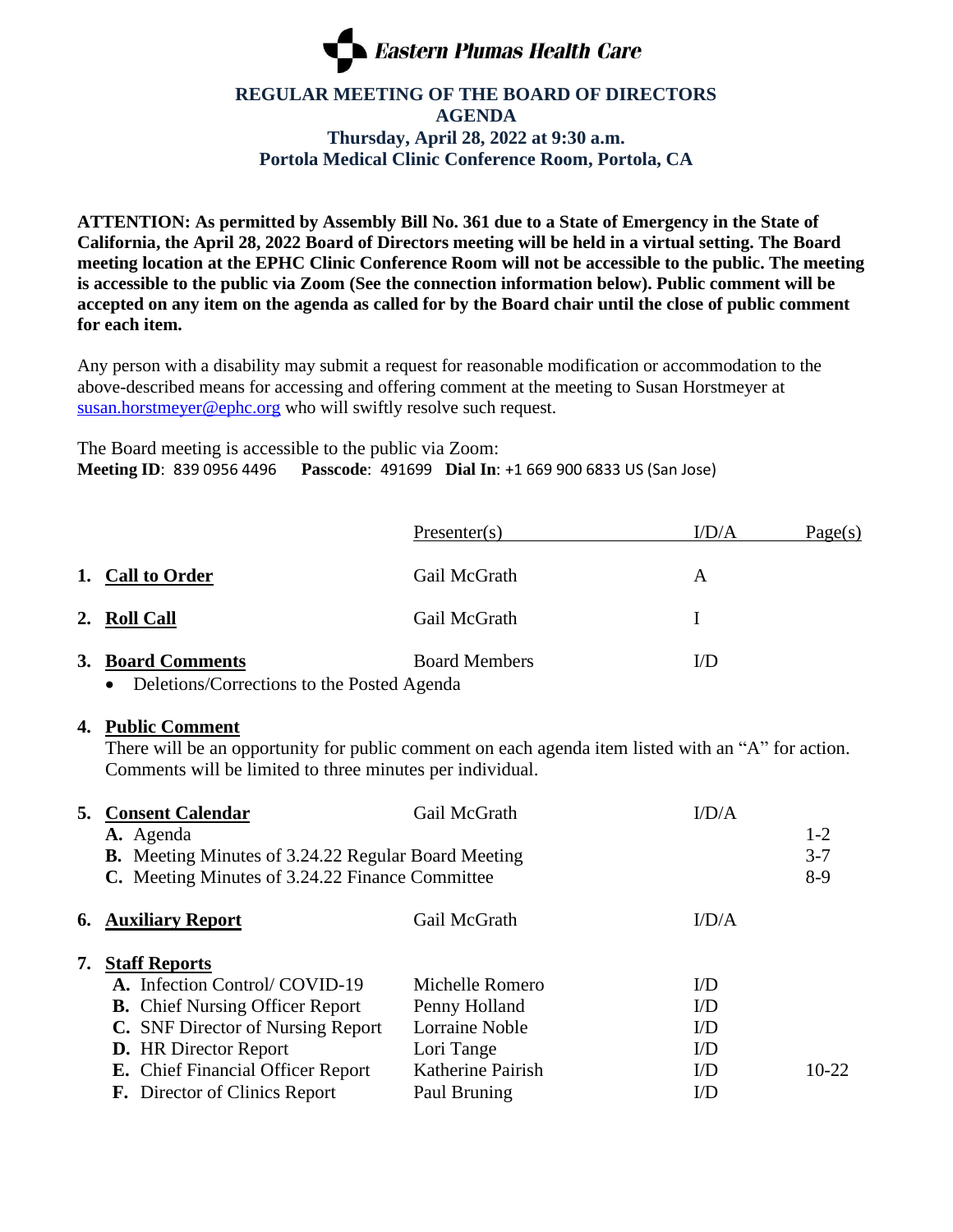

## **REGULAR MEETING OF THE BOARD OF DIRECTORS AGENDA Thursday, April 28, 2022 at 9:30 a.m. Portola Medical Clinic Conference Room, Portola, CA**

**ATTENTION: As permitted by Assembly Bill No. 361 due to a State of Emergency in the State of California, the April 28, 2022 Board of Directors meeting will be held in a virtual setting. The Board meeting location at the EPHC Clinic Conference Room will not be accessible to the public. The meeting is accessible to the public via Zoom (See the connection information below). Public comment will be accepted on any item on the agenda as called for by the Board chair until the close of public comment for each item.**

Any person with a disability may submit a request for reasonable modification or accommodation to the above-described means for accessing and offering comment at the meeting to Susan Horstmeyer at [susan.horstmeyer@ephc.org](mailto:susan.horstmeyer@ephc.org) who will swiftly resolve such request.

The Board meeting is accessible to the public via Zoom: **Meeting ID**: 839 0956 4496 **Passcode**: 491699 **Dial In**: +1 669 900 6833 US (San Jose)

|    |                                            | Presenter(s)         | I/D/A | Page(s) |
|----|--------------------------------------------|----------------------|-------|---------|
|    | 1. Call to Order                           | Gail McGrath         | A     |         |
|    | 2. Roll Call                               | Gail McGrath         |       |         |
| 3. | <b>Board Comments</b>                      | <b>Board Members</b> | I/D   |         |
|    | Deletions/Corrections to the Posted Agenda |                      |       |         |

## **4. Public Comment**

There will be an opportunity for public comment on each agenda item listed with an "A" for action. Comments will be limited to three minutes per individual.

| 5. | <b>Consent Calendar</b><br>A. Agenda                                                                          | Gail McGrath          | $ID/A$    | $1 - 2$          |
|----|---------------------------------------------------------------------------------------------------------------|-----------------------|-----------|------------------|
|    | <b>B.</b> Meeting Minutes of 3.24.22 Regular Board Meeting<br>C. Meeting Minutes of 3.24.22 Finance Committee |                       |           | $3 - 7$<br>$8-9$ |
|    | <b>6. Auxiliary Report</b>                                                                                    | Gail McGrath          | $ID/A$    |                  |
| 7. | <b>Staff Reports</b>                                                                                          |                       |           |                  |
|    | A. Infection Control/COVID-19                                                                                 | Michelle Romero       | I/D       |                  |
|    | <b>B.</b> Chief Nursing Officer Report                                                                        | Penny Holland         | $VD$      |                  |
|    | C. SNF Director of Nursing Report                                                                             | <b>Lorraine Noble</b> | $VD$      |                  |
|    | <b>D.</b> HR Director Report                                                                                  | Lori Tange            | $\rm{UD}$ |                  |
|    | <b>E.</b> Chief Financial Officer Report                                                                      | Katherine Pairish     | $VD$      | $10-22$          |
|    | <b>F.</b> Director of Clinics Report                                                                          | Paul Bruning          | $VD$      |                  |